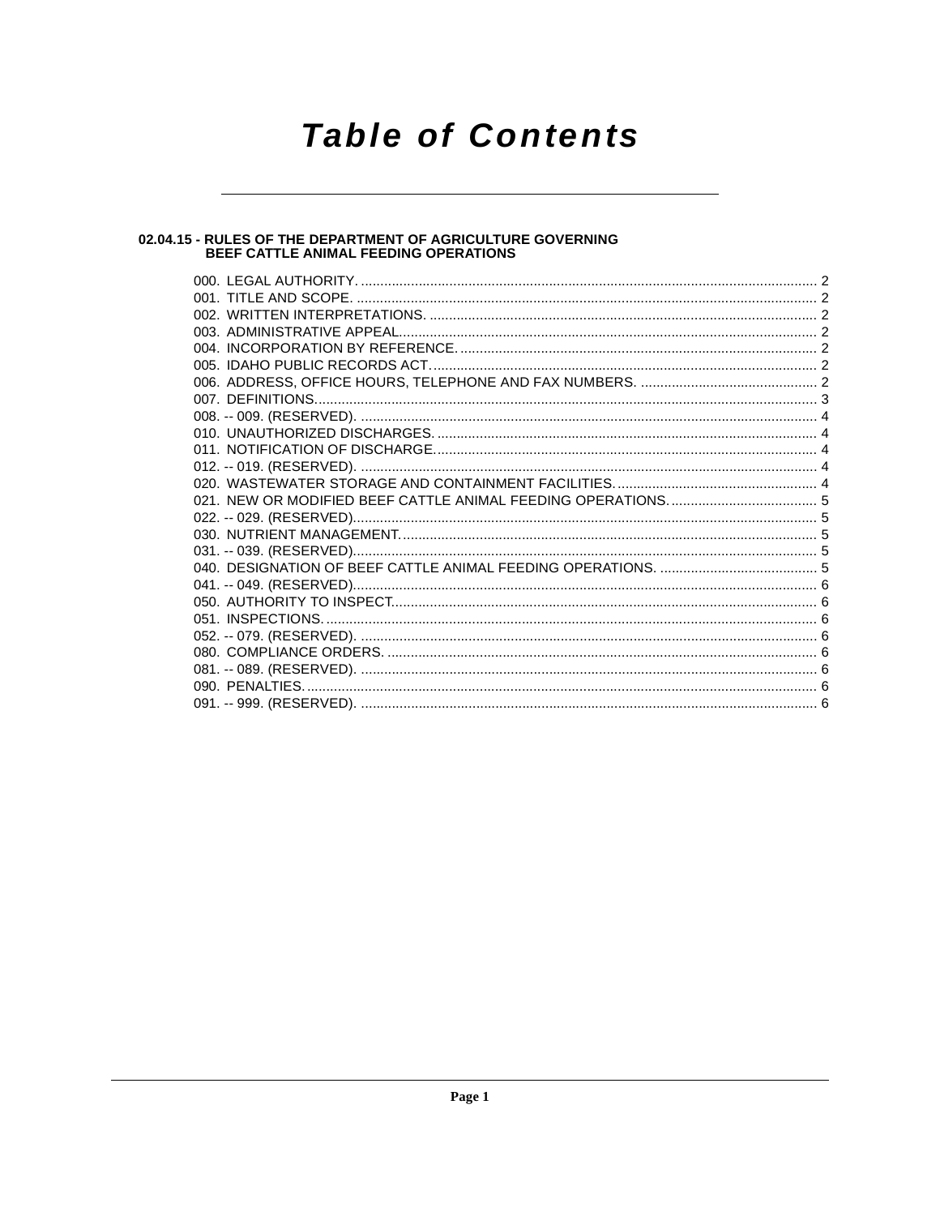# **Table of Contents**

# 02.04.15 - RULES OF THE DEPARTMENT OF AGRICULTURE GOVERNING<br>BEEF CATTLE ANIMAL FEEDING OPERATIONS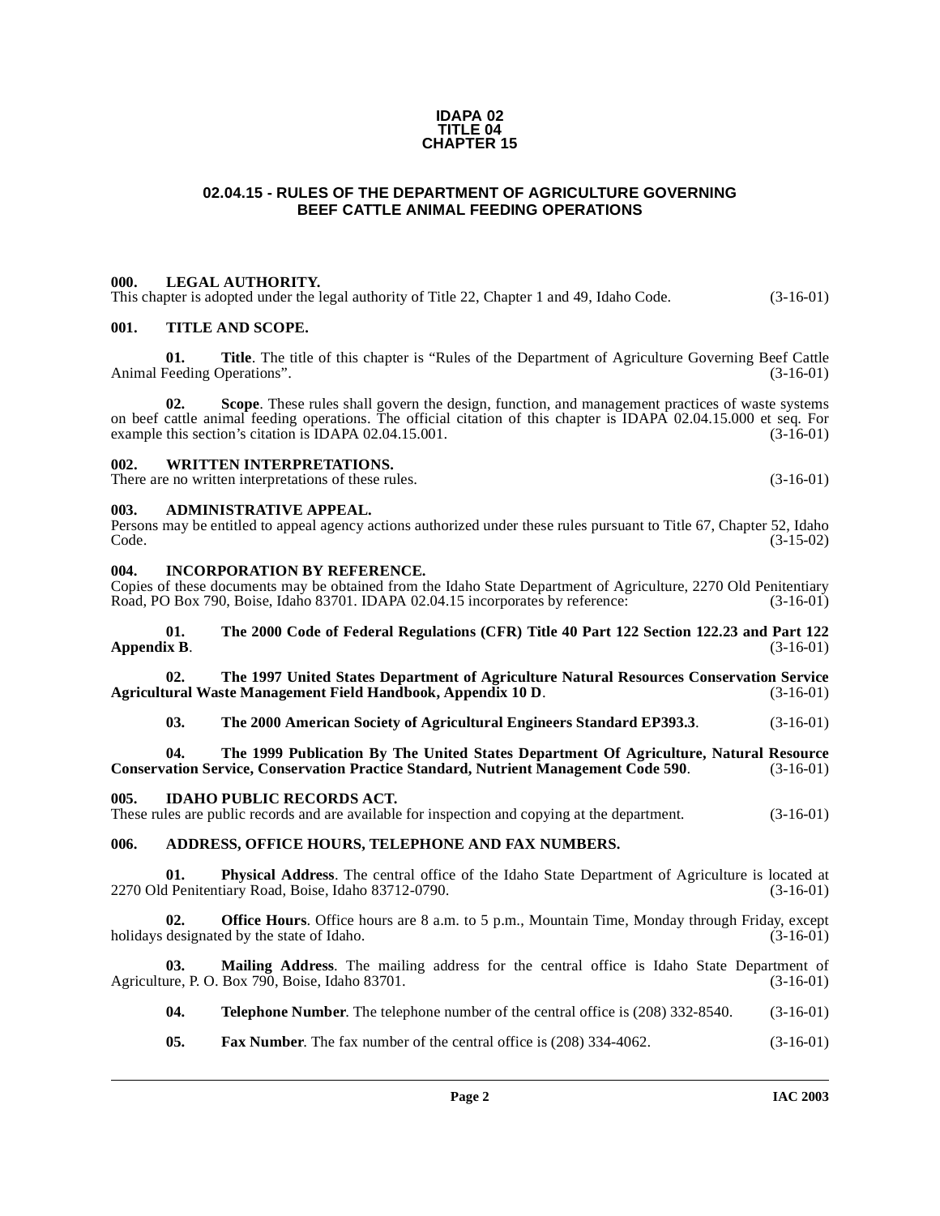### **IDAPA 02 TITLE 04 CHAPTER 15**

# <span id="page-1-0"></span>**02.04.15 - RULES OF THE DEPARTMENT OF AGRICULTURE GOVERNING BEEF CATTLE ANIMAL FEEDING OPERATIONS**

### <span id="page-1-1"></span>**000. LEGAL AUTHORITY.**

This chapter is adopted under the legal authority of Title 22, Chapter 1 and 49, Idaho Code. (3-16-01)

### <span id="page-1-2"></span>**001. TITLE AND SCOPE.**

**01. Title**. The title of this chapter is "Rules of the Department of Agriculture Governing Beef Cattle Feeding Operations". (3-16-01) Animal Feeding Operations".

**02. Scope**. These rules shall govern the design, function, and management practices of waste systems on beef cattle animal feeding operations. The official citation of this chapter is IDAPA 02.04.15.000 et seq. For example this section's citation is IDAPA 02.04.15.001. example this section's citation is IDAPA 02.04.15.001.

### <span id="page-1-3"></span>**002. WRITTEN INTERPRETATIONS.**

There are no written interpretations of these rules. (3-16-01)

### <span id="page-1-4"></span>**003. ADMINISTRATIVE APPEAL.**

|       | Persons may be entitled to appeal agency actions authorized under these rules pursuant to Title 67, Chapter 52, Idaho |
|-------|-----------------------------------------------------------------------------------------------------------------------|
| Code. | $(3-15-02)$                                                                                                           |

### <span id="page-1-5"></span>**004. INCORPORATION BY REFERENCE.**

Copies of these documents may be obtained from the Idaho State Department of Agriculture, 2270 Old Penitentiary<br>Road, PO Box 790, Boise, Idaho 83701. IDAPA 02.04.15 incorporates by reference: (3-16-01) Road, PO Box 790, Boise, Idaho 83701. IDAPA 02.04.15 incorporates by reference:

**[01. The 2000 Code of Federal Regulations \(CFR\) Title 40 Part 122 Section 122.23 and Part 122](http://www.access.gpo.gov/nara/cfr/waisidx_00/40cfrv14_00.html) [Appendix B](http://www.access.gpo.gov/nara/cfr/waisidx_00/40cfrv14_00.html).** (3-16-01)

**[02. The 1997](http://www.usda.gov) [United States Department of Agriculture Natural Resources Conservation Service](ftp://ftp.ftw.nrcs.usda.gov/pub/awmfh/chap10-app10d.pdf) [Agricultural Waste Management Field Handbook, Appendix 10 D](ftp://ftp.ftw.nrcs.usda.gov/pub/awmfh/chap10-app10d.pdf).** 

**[03. The 2000 American Society of Agricultural Engineers Standard EP393.3](http://asae.frymulti.com/)**. (3-16-01)

**[04. The 1999 Publication By The United States Department Of Agriculture, Natural Resource](http://www.usda.gov/) [Conservation Service, Conservation Practice Standard, Nutrient Management Code 590](http://www.usda.gov/)**. (3-16-01)

### <span id="page-1-6"></span>**005. IDAHO PUBLIC RECORDS ACT.**

These rules are public records and are available for inspection and copying at the department. (3-16-01)

## <span id="page-1-7"></span>**006. ADDRESS, OFFICE HOURS, TELEPHONE AND FAX NUMBERS.**

**01.** Physical Address. The central office of the Idaho State Department of Agriculture is located at Penitentiary Road, Boise, Idaho 83712-0790. (3-16-01) 2270 Old Penitentiary Road, Boise, Idaho 83712-0790.

**02. Office Hours**. Office hours are 8 a.m. to 5 p.m., Mountain Time, Monday through Friday, except designated by the state of Idaho. (3-16-01) holidays designated by the state of Idaho.

**03.** Mailing Address. The mailing address for the central office is Idaho State Department of are, P. O. Box 790, Boise, Idaho 83701. Agriculture, P. O. Box 790, Boise, Idaho 83701.

**04. Telephone Number**. The telephone number of the central office is (208) 332-8540. (3-16-01)

**05. Fax Number**. The fax number of the central office is (208) 334-4062. (3-16-01)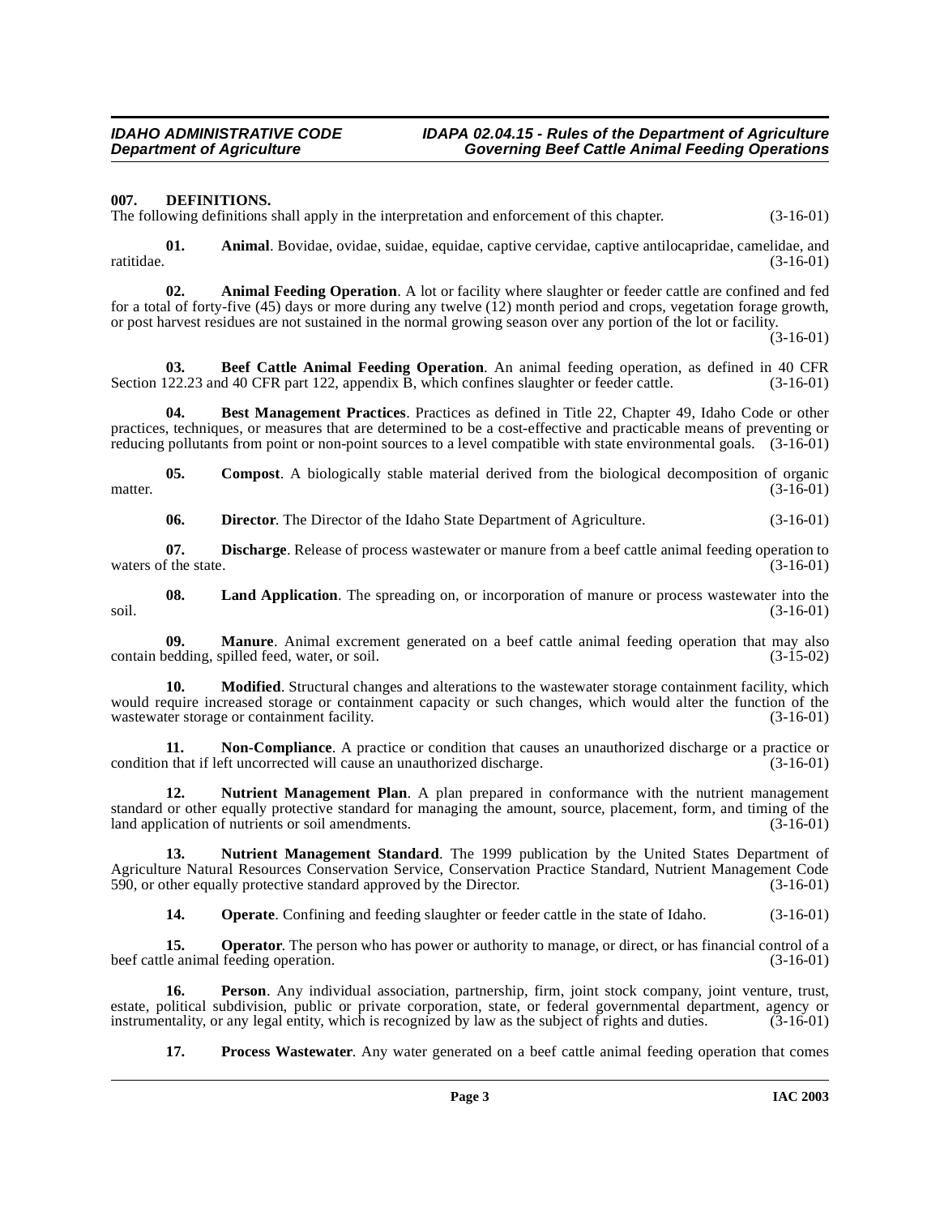### **IDAHO ADMINISTRATIVE CODE IDAPA 02.04.15 - Rules of the Department of Agriculture Governing Beef Cattle Animal Feeding Operations**

### <span id="page-2-4"></span><span id="page-2-0"></span>**007. DEFINITIONS.**

The following definitions shall apply in the interpretation and enforcement of this chapter. (3-16-01)

**01.** Animal. Bovidae, ovidae, suidae, equidae, captive cervidae, captive antilocapridae, camelidae, and (3-16-01) ratitidae. (3-16-01)

<span id="page-2-1"></span>**02. Animal Feeding Operation**. A lot or facility where slaughter or feeder cattle are confined and fed for a total of forty-five (45) days or more during any twelve (12) month period and crops, vegetation forage growth, or post harvest residues are not sustained in the normal growing season over any portion of the lot or facility.

 $(3-16-01)$ 

<span id="page-2-2"></span>**03. Beef Cattle Animal Feeding Operation**. An animal feeding operation, as defined in 40 CFR Section 122.23 and 40 CFR part 122, appendix B, which confines slaughter or feeder cattle. (3-16-01)

<span id="page-2-3"></span>**04. Best Management Practices**. Practices as defined in Title 22, Chapter 49, Idaho Code or other practices, techniques, or measures that are determined to be a cost-effective and practicable means of preventing or reducing pollutants from point or non-point sources to a level compatible with state environmental goals. (3-16-01)

**05. Compost**. A biologically stable material derived from the biological decomposition of organic (3-16-01) matter.  $(3-16-01)$ 

<span id="page-2-6"></span><span id="page-2-5"></span>**06. Director.** The Director of the Idaho State Department of Agriculture. (3-16-01)

**07. Discharge**. Release of process wastewater or manure from a beef cattle animal feeding operation to f the state. (3-16-01) waters of the state.

**08. Land Application**. The spreading on, or incorporation of manure or process wastewater into the soil. (3-16-01)

**09. Manure**. Animal excrement generated on a beef cattle animal feeding operation that may also bedding, spilled feed, water, or soil. (3-15-02) contain bedding, spilled feed, water, or soil.

**10. Modified**. Structural changes and alterations to the wastewater storage containment facility, which would require increased storage or containment capacity or such changes, which would alter the function of the wastewater storage or containment facility. (3-16-01) wastewater storage or containment facility.

<span id="page-2-7"></span>**11. Non-Compliance**. A practice or condition that causes an unauthorized discharge or a practice or a practice or condition that causes an unauthorized discharge. (3-16-01) condition that if left uncorrected will cause an unauthorized discharge.

<span id="page-2-8"></span>**12. Nutrient Management Plan**. A plan prepared in conformance with the nutrient management standard or other equally protective standard for managing the amount, source, placement, form, and timing of the land application of nutrients or soil amendments. (3-16-01)

**13. Nutrient Management Standard**. The 1999 publication by the United States Department of Agriculture Natural Resources Conservation Service, Conservation Practice Standard, Nutrient Management Code 590, or other equally protective standard approved by the Director. (3-16-01) 590, or other equally protective standard approved by the Director.

**14. Operate**. Confining and feeding slaughter or feeder cattle in the state of Idaho. (3-16-01)

**15. Operator**. The person who has power or authority to manage, or direct, or has financial control of a le animal feeding operation. (3-16-01) beef cattle animal feeding operation.

**16. Person**. Any individual association, partnership, firm, joint stock company, joint venture, trust, estate, political subdivision, public or private corporation, state, or federal governmental department, agency or instrumentality, or any legal entity, which is recognized by law as the subject of rights and duties. (3-16 instrumentality, or any legal entity, which is recognized by law as the subject of rights and duties.

**17. Process Wastewater**. Any water generated on a beef cattle animal feeding operation that comes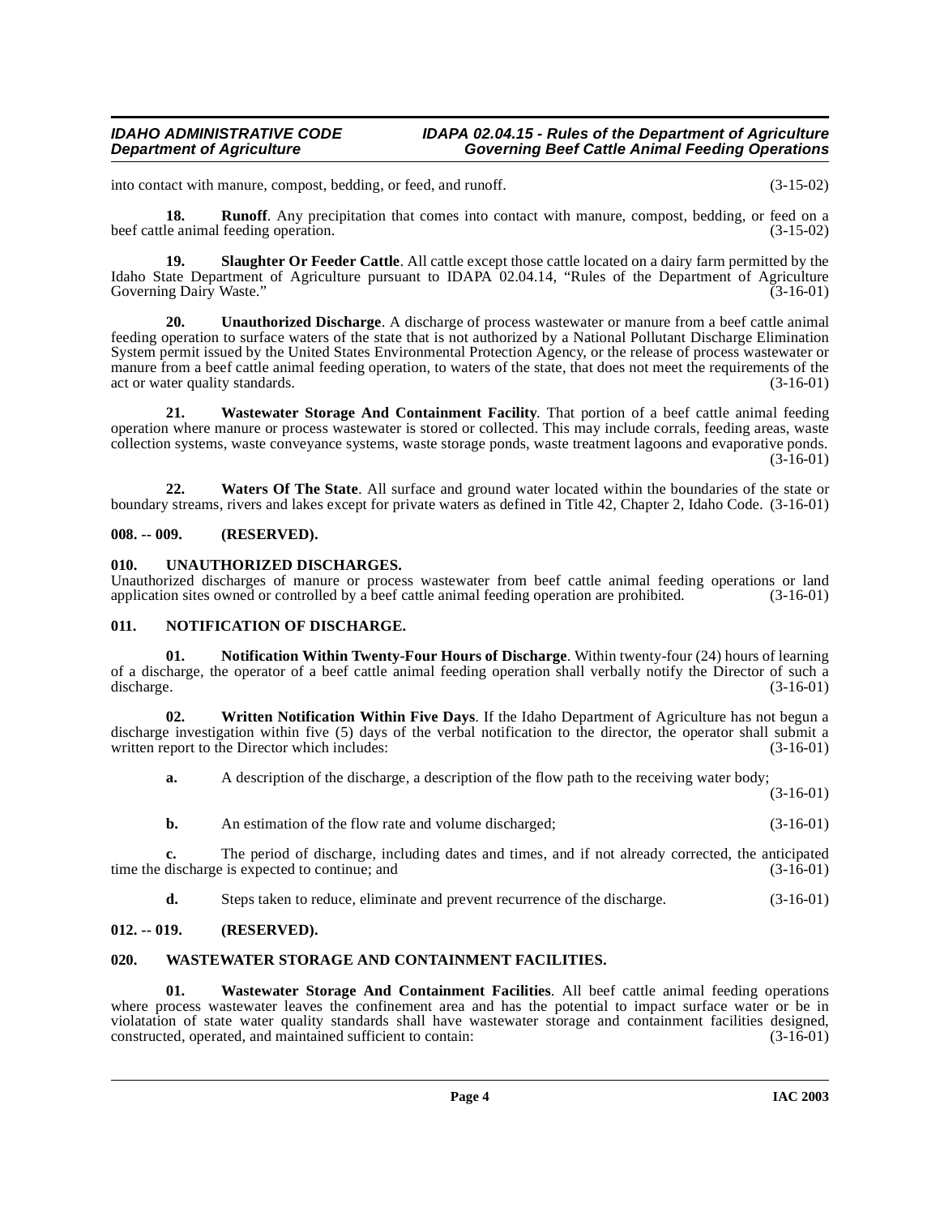## **IDAHO ADMINISTRATIVE CODE IDAPA 02.04.15 - Rules of the Department of Agriculture**<br>Governing Beef Cattle Animal Feeding Operations **Governing Beef Cattle Animal Feeding Operations**

into contact with manure, compost, bedding, or feed, and runoff. (3-15-02)

**18.** Runoff. Any precipitation that comes into contact with manure, compost, bedding, or feed on a beef cattle animal feeding operation. (3-15-02)

<span id="page-3-7"></span>**19.** Slaughter Or Feeder Cattle. All cattle except those cattle located on a dairy farm permitted by the Idaho State Department of Agriculture pursuant to IDAPA 02.04.14, "Rules of the Department of Agriculture Governing Dairy Waste." (3-16-01)

<span id="page-3-8"></span>**20. Unauthorized Discharge**. A discharge of process wastewater or manure from a beef cattle animal feeding operation to surface waters of the state that is not authorized by a National Pollutant Discharge Elimination System permit issued by the United States Environmental Protection Agency, or the release of process wastewater or manure from a beef cattle animal feeding operation, to waters of the state, that does not meet the requirements of the act or water quality standards. (3-16-01)  $(3-16-01)$ 

<span id="page-3-11"></span>**21. Wastewater Storage And Containment Facility**. That portion of a beef cattle animal feeding operation where manure or process wastewater is stored or collected. This may include corrals, feeding areas, waste collection systems, waste conveyance systems, waste storage ponds, waste treatment lagoons and evaporative ponds.  $(3-16-01)$ 

**22. Waters Of The State**. All surface and ground water located within the boundaries of the state or boundary streams, rivers and lakes except for private waters as defined in Title 42, Chapter 2, Idaho Code. (3-16-01)

## <span id="page-3-0"></span>**008. -- 009. (RESERVED).**

# <span id="page-3-9"></span><span id="page-3-1"></span>**010. UNAUTHORIZED DISCHARGES.**

Unauthorized discharges of manure or process wastewater from beef cattle animal feeding operations or land application sites owned or controlled by a beef cattle animal feeding operation are prohibited. (3-16-01)

### <span id="page-3-5"></span><span id="page-3-2"></span>**011. NOTIFICATION OF DISCHARGE.**

<span id="page-3-6"></span>**01. Notification Within Twenty-Four Hours of Discharge**. Within twenty-four (24) hours of learning of a discharge, the operator of a beef cattle animal feeding operation shall verbally notify the Director of such a discharge. (3-16-01) discharge. (3-16-01)

**02. Written Notification Within Five Days**. If the Idaho Department of Agriculture has not begun a discharge investigation within five (5) days of the verbal notification to the director, the operator shall submit a written report to the Director which includes: (3-16-01)

<span id="page-3-12"></span>**a.** A description of the discharge, a description of the flow path to the receiving water body;

(3-16-01)

**b.** An estimation of the flow rate and volume discharged;  $(3-16-01)$ 

**c.** The period of discharge, including dates and times, and if not already corrected, the anticipated discharge is expected to continue; and  $(3-16-01)$ time the discharge is expected to continue; and

<span id="page-3-10"></span>**d.** Steps taken to reduce, eliminate and prevent recurrence of the discharge.  $(3-16-01)$ 

# <span id="page-3-3"></span>**012. -- 019. (RESERVED).**

# <span id="page-3-4"></span>**020. WASTEWATER STORAGE AND CONTAINMENT FACILITIES.**

**01. Wastewater Storage And Containment Facilities**. All beef cattle animal feeding operations where process wastewater leaves the confinement area and has the potential to impact surface water or be in violatation of state water quality standards shall have wastewater storage and containment facilities designed, constructed, operated, and maintained sufficient to contain: (3-16-01) constructed, operated, and maintained sufficient to contain: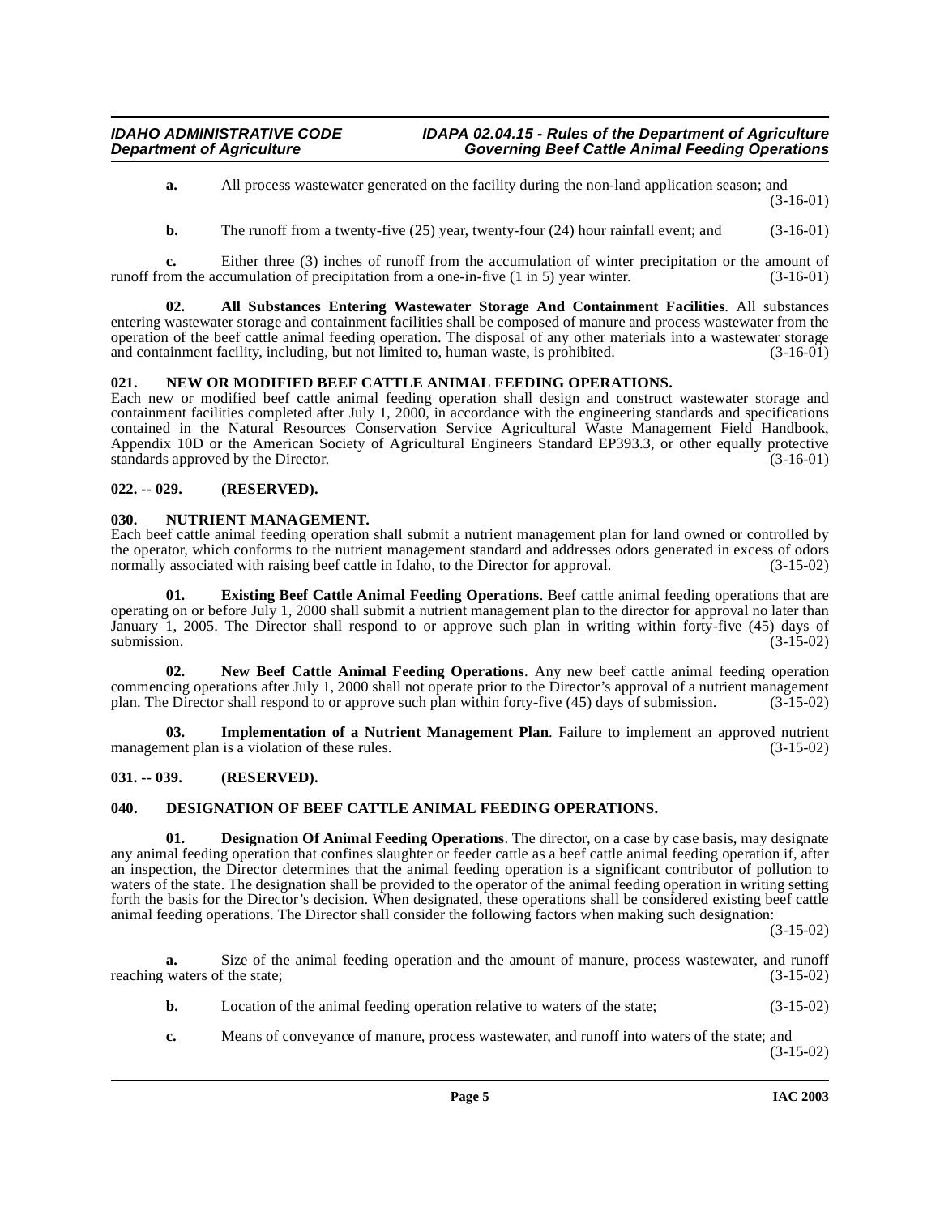**a.** All process wastewater generated on the facility during the non-land application season; and (3-16-01)

<span id="page-4-5"></span>**b.** The runoff from a twenty-five (25) year, twenty-four (24) hour rainfall event; and (3-16-01)

**c.** Either three (3) inches of runoff from the accumulation of winter precipitation or the amount of runoff from the accumulation of precipitation from a one-in-five  $(1 \text{ in } 5)$  year winter.  $(3-16-01)$ 

**02. All Substances Entering Wastewater Storage And Containment Facilities**. All substances entering wastewater storage and containment facilities shall be composed of manure and process wastewater from the operation of the beef cattle animal feeding operation. The disposal of any other materials into a wastewater storage<br>and containment facility, including, but not limited to, human waste, is prohibited. (3-16-01) and containment facility, including, but not limited to, human waste, is prohibited.

# <span id="page-4-10"></span><span id="page-4-0"></span>**021. NEW OR MODIFIED BEEF CATTLE ANIMAL FEEDING OPERATIONS.**

Each new or modified beef cattle animal feeding operation shall design and construct wastewater storage and containment facilities completed after July 1, 2000, in accordance with the engineering standards and specifications contained in the Natural Resources Conservation Service Agricultural Waste Management Field Handbook, Appendix 10D or the American Society of Agricultural Engineers Standard EP393.3, or other equally protective standards approved by the Director. (3-16-01) standards approved by the Director.

# <span id="page-4-1"></span>**022. -- 029. (RESERVED).**

# <span id="page-4-11"></span><span id="page-4-2"></span>**030. NUTRIENT MANAGEMENT.**

Each beef cattle animal feeding operation shall submit a nutrient management plan for land owned or controlled by the operator, which conforms to the nutrient management standard and addresses odors generated in excess of odors normally associated with raising beef cattle in Idaho, to the Director for approval. (3-15-02)

<span id="page-4-7"></span>**01. Existing Beef Cattle Animal Feeding Operations**. Beef cattle animal feeding operations that are operating on or before July 1, 2000 shall submit a nutrient management plan to the director for approval no later than January 1, 2005. The Director shall respond to or approve such plan in writing within forty-five (45) days of submission.  $(3-15-02)$ 

<span id="page-4-9"></span>**02. New Beef Cattle Animal Feeding Operations**. Any new beef cattle animal feeding operation commencing operations after July 1, 2000 shall not operate prior to the Director's approval of a nutrient management<br>plan. The Director shall respond to or approve such plan within forty-five (45) days of submission. (3-15 plan. The Director shall respond to or approve such plan within forty-five (45) days of submission.

<span id="page-4-8"></span>**03. Implementation of a Nutrient Management Plan**. Failure to implement an approved nutrient nent plan is a violation of these rules. management plan is a violation of these rules.

# <span id="page-4-3"></span>**031. -- 039. (RESERVED).**

# <span id="page-4-6"></span><span id="page-4-4"></span>**040. DESIGNATION OF BEEF CATTLE ANIMAL FEEDING OPERATIONS.**

**Designation Of Animal Feeding Operations**. The director, on a case by case basis, may designate any animal feeding operation that confines slaughter or feeder cattle as a beef cattle animal feeding operation if, after an inspection, the Director determines that the animal feeding operation is a significant contributor of pollution to waters of the state. The designation shall be provided to the operator of the animal feeding operation in writing setting forth the basis for the Director's decision. When designated, these operations shall be considered existing beef cattle animal feeding operations. The Director shall consider the following factors when making such designation:

(3-15-02)

**a.** Size of the animal feeding operation and the amount of manure, process wastewater, and runoff reaching waters of the state; (3-15-02)

- **b.** Location of the animal feeding operation relative to waters of the state; (3-15-02)
- **c.** Means of conveyance of manure, process wastewater, and runoff into waters of the state; and (3-15-02)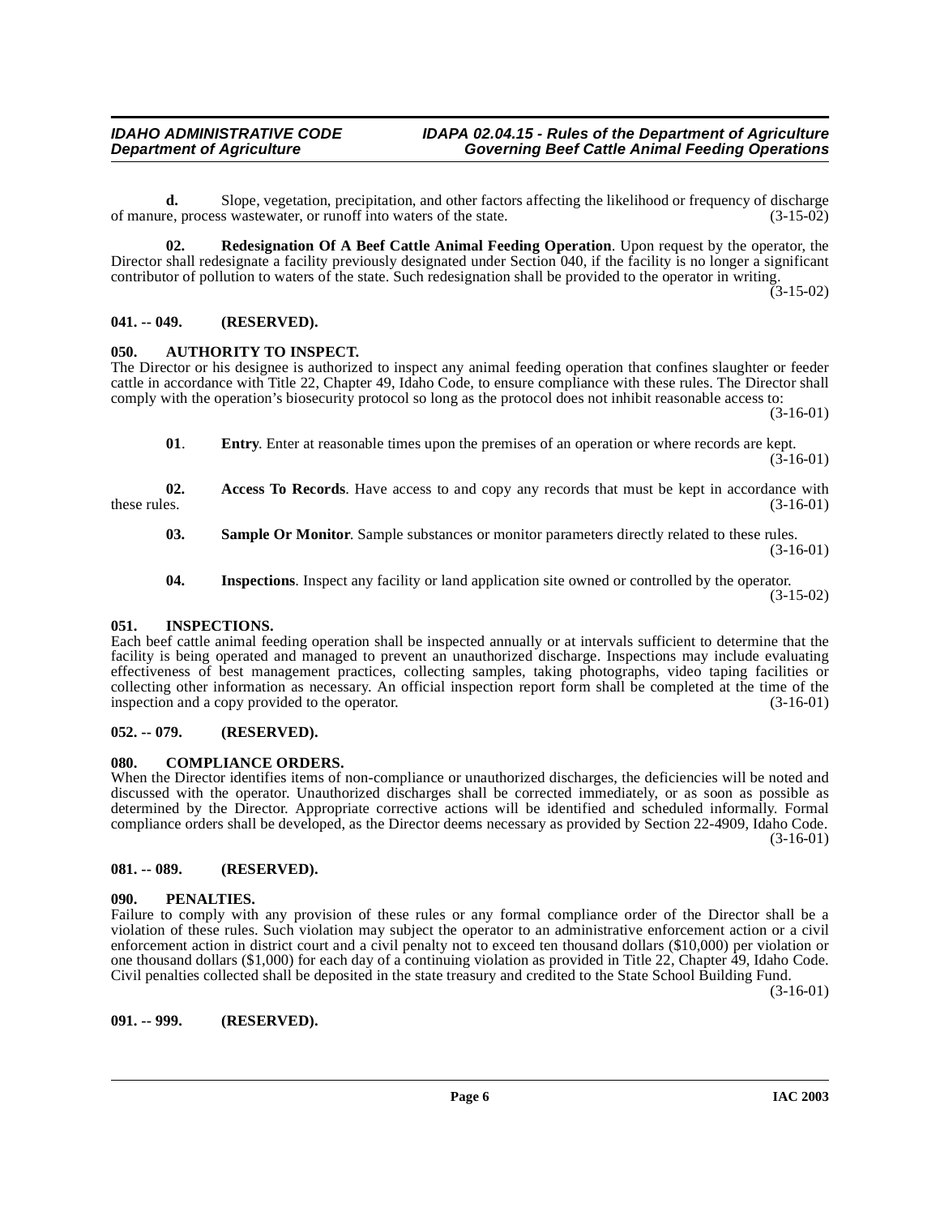**d.** Slope, vegetation, precipitation, and other factors affecting the likelihood or frequency of discharge re, process was tewater, or runoff into waters of the state. (3-15-02) of manure, process wastewater, or runoff into waters of the state.

<span id="page-5-12"></span>**02. Redesignation Of A Beef Cattle Animal Feeding Operation**. Upon request by the operator, the Director shall redesignate a facility previously designated under Section 040, if the facility is no longer a significant contributor of pollution to waters of the state. Such redesignation shall be provided to the operator in writing.

(3-15-02)

## <span id="page-5-0"></span>**041. -- 049. (RESERVED).**

## <span id="page-5-8"></span><span id="page-5-1"></span>**050. AUTHORITY TO INSPECT.**

The Director or his designee is authorized to inspect any animal feeding operation that confines slaughter or feeder cattle in accordance with Title 22, Chapter 49, Idaho Code, to ensure compliance with these rules. The Director shall comply with the operation's biosecurity protocol so long as the protocol does not inhibit reasonable access to:

(3-16-01)

**01**. **Entry**. Enter at reasonable times upon the premises of an operation or where records are kept.  $(3 - 16 - 01)$ 

**02.** Access To Records. Have access to and copy any records that must be kept in accordance with these rules.  $(3-16-01)$ these rules.  $(3-16-01)$ 

**03.** Sample Or Monitor. Sample substances or monitor parameters directly related to these rules. (3-16-01)

<span id="page-5-10"></span>**04.** Inspections. Inspect any facility or land application site owned or controlled by the operator. (3-15-02)

### <span id="page-5-2"></span>**051. INSPECTIONS.**

Each beef cattle animal feeding operation shall be inspected annually or at intervals sufficient to determine that the facility is being operated and managed to prevent an unauthorized discharge. Inspections may include evaluating effectiveness of best management practices, collecting samples, taking photographs, video taping facilities or collecting other information as necessary. An official inspection report form shall be completed at the time of the inspection and a copy provided to the operator.

# <span id="page-5-3"></span>**052. -- 079. (RESERVED).**

# <span id="page-5-9"></span><span id="page-5-4"></span>**080. COMPLIANCE ORDERS.**

When the Director identifies items of non-compliance or unauthorized discharges, the deficiencies will be noted and discussed with the operator. Unauthorized discharges shall be corrected immediately, or as soon as possible as determined by the Director. Appropriate corrective actions will be identified and scheduled informally. Formal compliance orders shall be developed, as the Director deems necessary as provided by Section 22-4909, Idaho Code.  $(3-16-01)$ 

# <span id="page-5-5"></span>**081. -- 089. (RESERVED).**

# <span id="page-5-11"></span><span id="page-5-6"></span>**090. PENALTIES.**

Failure to comply with any provision of these rules or any formal compliance order of the Director shall be a violation of these rules. Such violation may subject the operator to an administrative enforcement action or a civil enforcement action in district court and a civil penalty not to exceed ten thousand dollars (\$10,000) per violation or one thousand dollars (\$1,000) for each day of a continuing violation as provided in Title 22, Chapter 49, Idaho Code. Civil penalties collected shall be deposited in the state treasury and credited to the State School Building Fund.

(3-16-01)

<span id="page-5-7"></span>**091. -- 999. (RESERVED).**